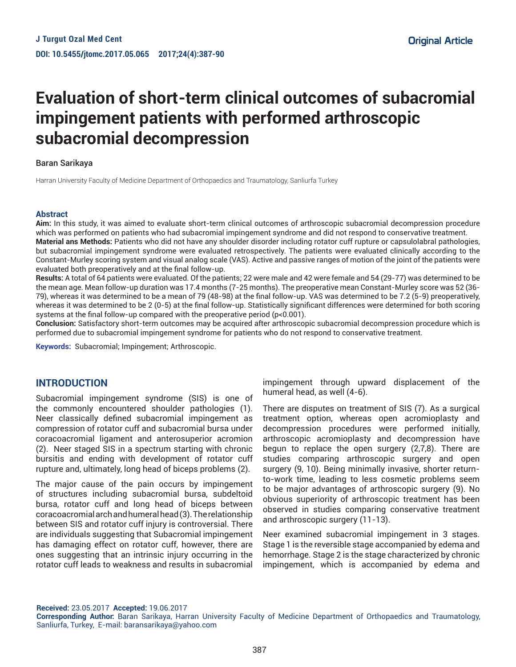# **Evaluation of short-term clinical outcomes of subacromial impingement patients with performed arthroscopic subacromial decompression**

#### Baran Sarikaya

Harran University Faculty of Medicine Department of Orthopaedics and Traumatology, Sanliurfa Turkey

#### **Abstract**

**Aim:** In this study, it was aimed to evaluate short-term clinical outcomes of arthroscopic subacromial decompression procedure which was performed on patients who had subacromial impingement syndrome and did not respond to conservative treatment. **Material ans Methods:** Patients who did not have any shoulder disorder including rotator cuff rupture or capsulolabral pathologies, but subacromial impingement syndrome were evaluated retrospectively. The patients were evaluated clinically according to the Constant-Murley scoring system and visual analog scale (VAS). Active and passive ranges of motion of the joint of the patients were

evaluated both preoperatively and at the final follow-up. **Results:** A total of 64 patients were evaluated. Of the patients; 22 were male and 42 were female and 54 (29-77) was determined to be the mean age. Mean follow-up duration was 17.4 months (7-25 months). The preoperative mean Constant-Murley score was 52 (36- 79), whereas it was determined to be a mean of 79 (48-98) at the final follow-up. VAS was determined to be 7.2 (5-9) preoperatively, whereas it was determined to be 2 (0-5) at the final follow-up. Statistically significant differences were determined for both scoring systems at the final follow-up compared with the preoperative period (p<0.001).

**Conclusion:** Satisfactory short-term outcomes may be acquired after arthroscopic subacromial decompression procedure which is performed due to subacromial impingement syndrome for patients who do not respond to conservative treatment.

**Keywords:** Subacromial; Impingement; Arthroscopic.

## **INTRODUCTION**

Subacromial impingement syndrome (SIS) is one of the commonly encountered shoulder pathologies (1). Neer classically defined subacromial impingement as compression of rotator cuff and subacromial bursa under coracoacromial ligament and anterosuperior acromion (2). Neer staged SIS in a spectrum starting with chronic bursitis and ending with development of rotator cuff rupture and, ultimately, long head of biceps problems (2).

The major cause of the pain occurs by impingement of structures including subacromial bursa, subdeltoid bursa, rotator cuff and long head of biceps between coracoacromial arch and humeral head (3). The relationship between SIS and rotator cuff injury is controversial. There are individuals suggesting that Subacromial impingement has damaging effect on rotator cuff, however, there are ones suggesting that an intrinsic injury occurring in the rotator cuff leads to weakness and results in subacromial

impingement through upward displacement of the humeral head, as well (4-6).

There are disputes on treatment of SIS (7). As a surgical treatment option, whereas open acromioplasty and decompression procedures were performed initially, arthroscopic acromioplasty and decompression have begun to replace the open surgery (2,7,8). There are studies comparing arthroscopic surgery and open surgery (9, 10). Being minimally invasive, shorter returnto-work time, leading to less cosmetic problems seem to be major advantages of arthroscopic surgery (9). No obvious superiority of arthroscopic treatment has been observed in studies comparing conservative treatment and arthroscopic surgery (11-13).

Neer examined subacromial impingement in 3 stages. Stage 1 is the reversible stage accompanied by edema and hemorrhage. Stage 2 is the stage characterized by chronic impingement, which is accompanied by edema and

**Received:** 23.05.2017 **Accepted:** 19.06.2017

**Corresponding Author:** Baran Sarikaya, Harran University Faculty of Medicine Department of Orthopaedics and Traumatology, Sanliurfa, Turkey, E-mail: baransarikaya@yahoo.com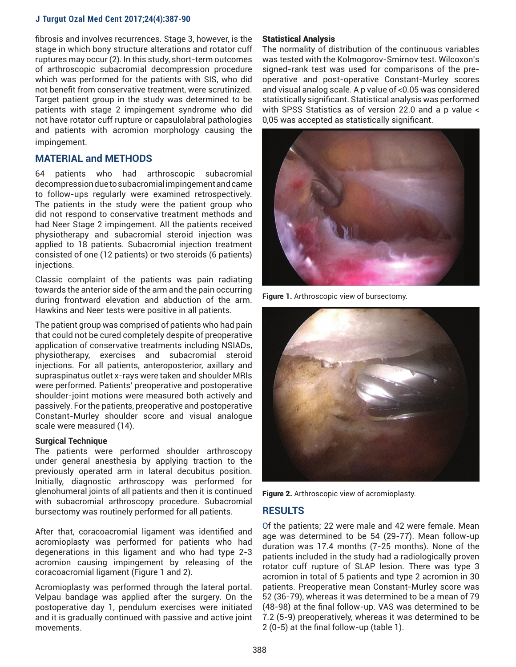#### **J Turgut Ozal Med Cent 2017;24(4):387-90**

fibrosis and involves recurrences. Stage 3, however, is the stage in which bony structure alterations and rotator cuff ruptures may occur (2). In this study, short-term outcomes of arthroscopic subacromial decompression procedure which was performed for the patients with SIS, who did not benefit from conservative treatment, were scrutinized. Target patient group in the study was determined to be patients with stage 2 impingement syndrome who did not have rotator cuff rupture or capsulolabral pathologies and patients with acromion morphology causing the impingement.

# **MATERIAL and METHODS**

64 patients who had arthroscopic subacromial decompression due to subacromial impingement and came to follow-ups regularly were examined retrospectively. The patients in the study were the patient group who did not respond to conservative treatment methods and had Neer Stage 2 impingement. All the patients received physiotherapy and subacromial steroid injection was applied to 18 patients. Subacromial injection treatment consisted of one (12 patients) or two steroids (6 patients) injections.

Classic complaint of the patients was pain radiating towards the anterior side of the arm and the pain occurring during frontward elevation and abduction of the arm. Hawkins and Neer tests were positive in all patients.

The patient group was comprised of patients who had pain that could not be cured completely despite of preoperative application of conservative treatments including NSIADs, physiotherapy, exercises and subacromial steroid injections. For all patients, anteroposterior, axillary and supraspinatus outlet x-rays were taken and shoulder MRIs were performed. Patients' preoperative and postoperative shoulder-joint motions were measured both actively and passively. For the patients, preoperative and postoperative Constant-Murley shoulder score and visual analogue scale were measured (14).

#### **Surgical Technique**

The patients were performed shoulder arthroscopy under general anesthesia by applying traction to the previously operated arm in lateral decubitus position. Initially, diagnostic arthroscopy was performed for glenohumeral joints of all patients and then it is continued with subacromial arthroscopy procedure. Subacromial bursectomy was routinely performed for all patients.

After that, coracoacromial ligament was identified and acromioplasty was performed for patients who had degenerations in this ligament and who had type 2-3 acromion causing impingement by releasing of the coracoacromial ligament (Figure 1 and 2).

Acromioplasty was performed through the lateral portal. Velpau bandage was applied after the surgery. On the postoperative day 1, pendulum exercises were initiated and it is gradually continued with passive and active joint movements.

#### Statistical Analysis

The normality of distribution of the continuous variables was tested with the Kolmogorov-Smirnov test. Wilcoxon's signed-rank test was used for comparisons of the preoperative and post-operative Constant-Murley scores and visual analog scale. A p value of <0.05 was considered statistically significant. Statistical analysis was performed with SPSS Statistics as of version 22.0 and a p value < 0,05 was accepted as statistically significant.



**Figure 1.** Arthroscopic view of bursectomy.



Figure 2. Arthroscopic view of acromioplasty.

## **RESULTS**

Of the patients; 22 were male and 42 were female. Mean age was determined to be 54 (29-77). Mean follow-up duration was 17.4 months (7-25 months). None of the patients included in the study had a radiologically proven rotator cuff rupture of SLAP lesion. There was type 3 acromion in total of 5 patients and type 2 acromion in 30 patients. Preoperative mean Constant-Murley score was 52 (36-79), whereas it was determined to be a mean of 79 (48-98) at the final follow-up. VAS was determined to be 7.2 (5-9) preoperatively, whereas it was determined to be 2 (0-5) at the final follow-up (table 1).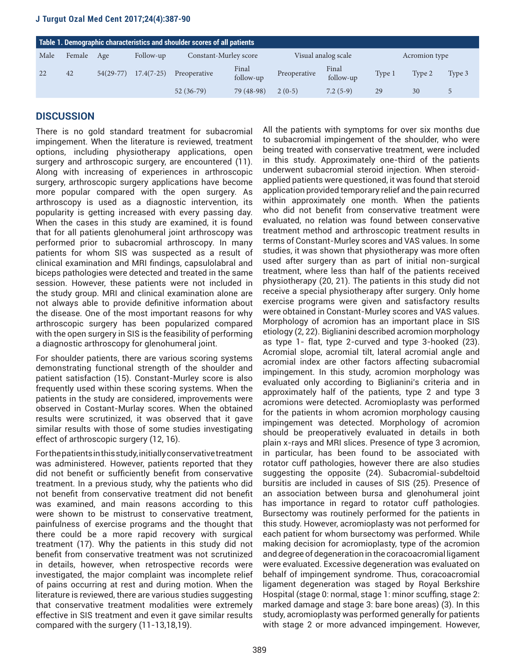## **J Turgut Ozal Med Cent 2017;24(4):387-90**

| Table 1. Demographic characteristics and shoulder scores of all patients |        |             |              |                       |                    |                     |                    |               |        |        |
|--------------------------------------------------------------------------|--------|-------------|--------------|-----------------------|--------------------|---------------------|--------------------|---------------|--------|--------|
| Male                                                                     | Female | Age         | Follow-up    | Constant-Murley score |                    | Visual analog scale |                    | Acromion type |        |        |
|                                                                          | 42     | $54(29-77)$ | $17.4(7-25)$ | Preoperative          | Final<br>follow-up | Preoperative        | Final<br>follow-up | Type 1        | Type 2 | Type 3 |
|                                                                          |        |             |              | $52(36-79)$           | 79 (48-98)         | $2(0-5)$            | $7.2(5-9)$         | 29            | 30     |        |

# **DISCUSSION**

There is no gold standard treatment for subacromial impingement. When the literature is reviewed, treatment options, including physiotherapy applications, open surgery and arthroscopic surgery, are encountered (11). Along with increasing of experiences in arthroscopic surgery, arthroscopic surgery applications have become more popular compared with the open surgery. As arthroscopy is used as a diagnostic intervention, its popularity is getting increased with every passing day. When the cases in this study are examined, it is found that for all patients glenohumeral joint arthroscopy was performed prior to subacromial arthroscopy. In many patients for whom SIS was suspected as a result of clinical examination and MRI findings, capsulolabral and biceps pathologies were detected and treated in the same session. However, these patients were not included in the study group. MRI and clinical examination alone are not always able to provide definitive information about the disease. One of the most important reasons for why arthroscopic surgery has been popularized compared with the open surgery in SIS is the feasibility of performing a diagnostic arthroscopy for glenohumeral joint.

For shoulder patients, there are various scoring systems demonstrating functional strength of the shoulder and patient satisfaction (15). Constant-Murley score is also frequently used within these scoring systems. When the patients in the study are considered, improvements were observed in Costant-Murlay scores. When the obtained results were scrutinized, it was observed that it gave similar results with those of some studies investigating effect of arthroscopic surgery (12, 16).

For the patients in this study, initially conservative treatment was administered. However, patients reported that they did not benefit or sufficiently benefit from conservative treatment. In a previous study, why the patients who did not benefit from conservative treatment did not benefit was examined, and main reasons according to this were shown to be mistrust to conservative treatment, painfulness of exercise programs and the thought that there could be a more rapid recovery with surgical treatment (17). Why the patients in this study did not benefit from conservative treatment was not scrutinized in details, however, when retrospective records were investigated, the major complaint was incomplete relief of pains occurring at rest and during motion. When the literature is reviewed, there are various studies suggesting that conservative treatment modalities were extremely effective in SIS treatment and even it gave similar results compared with the surgery (11-13,18,19).

All the patients with symptoms for over six months due to subacromial impingement of the shoulder, who were being treated with conservative treatment, were included in this study. Approximately one-third of the patients underwent subacromial steroid injection. When steroidapplied patients were questioned, it was found that steroid application provided temporary relief and the pain recurred within approximately one month. When the patients who did not benefit from conservative treatment were evaluated, no relation was found between conservative treatment method and arthroscopic treatment results in terms of Constant-Murley scores and VAS values. In some studies, it was shown that physiotherapy was more often used after surgery than as part of initial non-surgical treatment, where less than half of the patients received physiotherapy (20, 21). The patients in this study did not receive a special physiotherapy after surgery. Only home exercise programs were given and satisfactory results were obtained in Constant-Murley scores and VAS values. Morphology of acromion has an important place in SIS etiology (2, 22). Biglianini described acromion morphology as type 1- flat, type 2-curved and type 3-hooked (23). Acromial slope, acromial tilt, lateral acromial angle and acromial index are other factors affecting subacromial impingement. In this study, acromion morphology was evaluated only according to Biglianini's criteria and in approximately half of the patients, type 2 and type 3 acromions were detected. Acromioplasty was performed for the patients in whom acromion morphology causing impingement was detected. Morphology of acromion should be preoperatively evaluated in details in both plain x-rays and MRI slices. Presence of type 3 acromion, in particular, has been found to be associated with rotator cuff pathologies, however there are also studies suggesting the opposite (24). Subacromial-subdeltoid bursitis are included in causes of SIS (25). Presence of an association between bursa and glenohumeral joint has importance in regard to rotator cuff pathologies. Bursectomy was routinely performed for the patients in this study. However, acromioplasty was not performed for each patient for whom bursectomy was performed. While making decision for acromioplasty, type of the acromion and degree of degeneration in the coracoacromial ligament were evaluated. Excessive degeneration was evaluated on behalf of impingement syndrome. Thus, coracoacromial ligament degeneration was staged by Royal Berkshire Hospital (stage 0: normal, stage 1: minor scuffing, stage 2: marked damage and stage 3: bare bone areas) (3). In this study, acromioplasty was performed generally for patients with stage 2 or more advanced impingement. However,